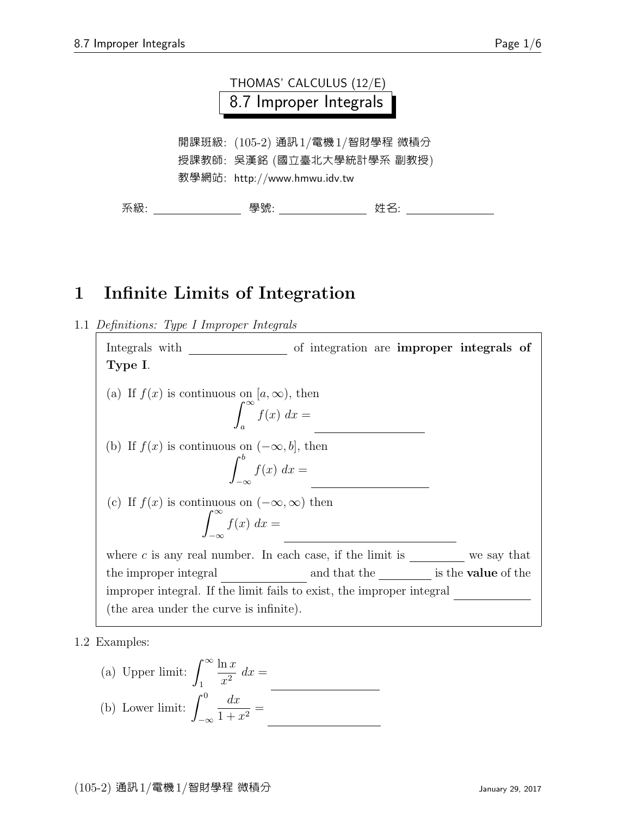

## 1 Infinite Limits of Integration

1.1 Definitions: Type I Improper Integrals

Integrals with infinite limits of integration are improper integrals of Type I. (a) If  $f(x)$  is continuous on  $[a,\infty)$ , then  $\int^{\infty}$ a  $f(x)$  dx = a (b) If  $f(x)$  is continuous on  $(-\infty, b]$ , then  $\int^b$  $\int_{-\infty}^{0} f(x) dx =$ a (c) If  $f(x)$  is continuous on  $(-\infty, \infty)$  then  $\int^{\infty}$ −∞  $f(x) dx =$ where  $c$  is any real number. In each case, if the limit is we say that the improper integral and that the limit is the **value** of the improper integral. If the limit fails to exist, the improper integral (the area under the curve is infinite).

1.2 Examples:

(a) Upper limit: 
$$
\int_{1}^{\infty} \frac{\ln x}{x^2} dx =
$$
  
(b) Lower limit: 
$$
\int_{-\infty}^{0} \frac{dx}{1 + x^2} =
$$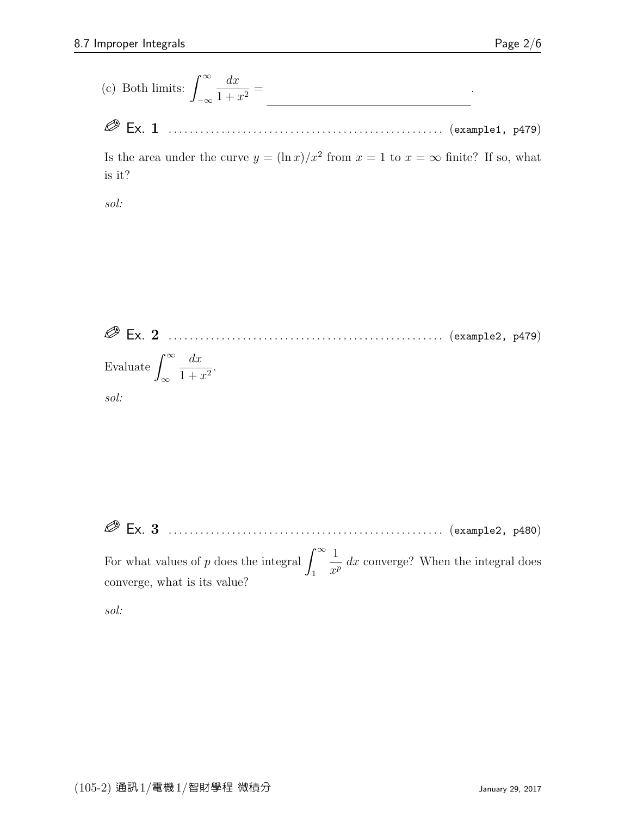- (c) Both limits:  $\int_{0}^{\infty}$ −∞  $dx$  $\frac{dx}{1+x^2} =$ b 0 .
- Ex. 1 . . . . . . . . . . . . . . . . . . . . . . . . . . . . . . . . . . . . . . . . . . . . . . . . . . . . (example1, p479)

Is the area under the curve  $y = (\ln x)/x^2$  from  $x = 1$  to  $x = \infty$  finite? If so, what is it?

sol:

 Ex. 2 . . . . . . . . . . . . . . . . . . . . . . . . . . . . . . . . . . . . . . . . . . . . . . . . . . . . (example2, p479) Evaluate - ∞ ∞ dx 1 + x 2 . sol:

 Ex. 3 . . . . . . . . . . . . . . . . . . . . . . . . . . . . . . . . . . . . . . . . . . . . . . . . . . . . (example2, p480) For what values of p does the integral  $\int_{-\infty}^{\infty}$ 1  $\frac{1}{x^p}$  dx converge? When the integral does

1

converge, what is its value?

sol: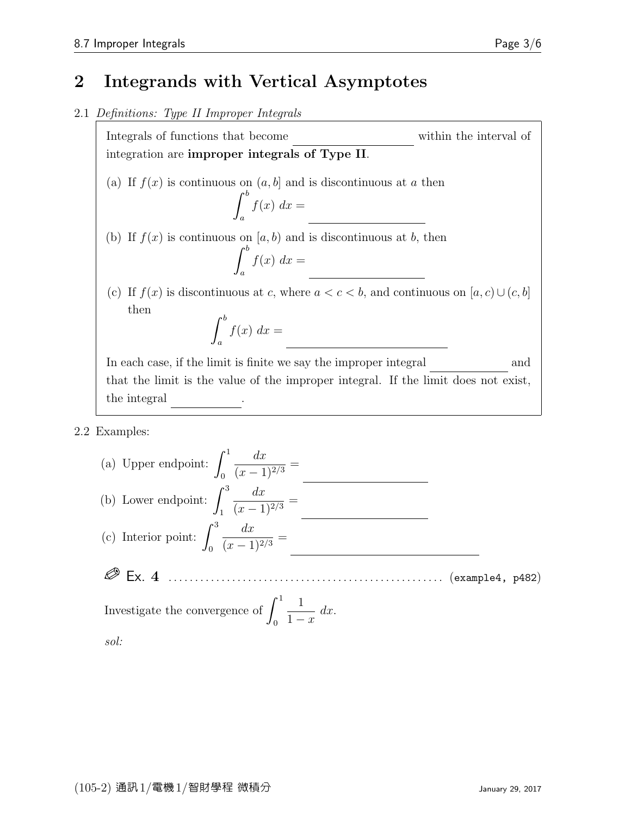## 2 Integrands with Vertical Asymptotes

#### 2.1 Definitions: Type II Improper Integrals

Integrals of functions that become interval  $\alpha$  point within the interval of integration are improper integrals of Type II. (a) If  $f(x)$  is continuous on  $(a, b]$  and is discontinuous at a then  $\int^b$ a  $f(x)$   $dx =$ a (b) If  $f(x)$  is continuous on  $[a, b]$  and is discontinuous at b, then  $\int^b$ a  $f(x) dx =$ a (c) If  $f(x)$  is discontinuous at c, where  $a < c < b$ , and continuous on  $[a, c) \cup (c, b]$ then  $\int^b$ a  $f(x) dx =$ In each case, if the limit is finite we say the improper integral and

that the limit is the value of the improper integral. If the limit does not exist, the integral

2.2 Examples:

(a) Upper endpoint: - 1 0 dx (x − 1)<sup>2</sup>/<sup>3</sup> = lim (b) Lower endpoint: - 3 1 dx (x − 1)<sup>2</sup>/<sup>3</sup> = lim d (c) Interior point: - 3 0 dx (x − 1)<sup>2</sup>/<sup>3</sup> = Ex. 4 . . . . . . . . . . . . . . . . . . . . . . . . . . . . . . . . . . . . . . . . . . . . . . . . . . . . (example4, p482) Investigate the convergence of - 1 0 1 1 − x dx. sol: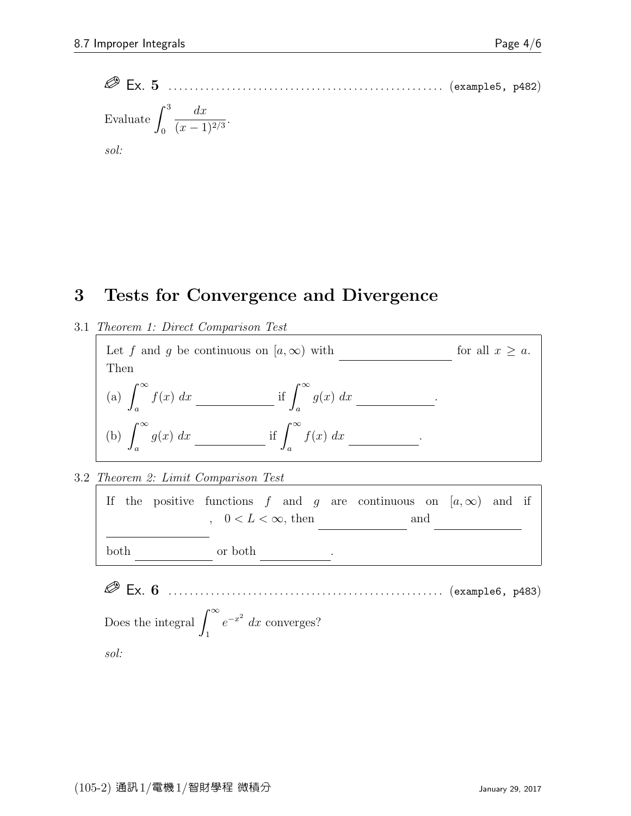$$
\bigotimes E
$$
K. 5 (example5, p482)  
Evaluate  $\int_0^3 \frac{dx}{(x-1)^{2/3}}$ .  
*sol:*

### 3 Tests for Convergence and Divergence

3.1 Theorem 1: Direct Comparison Test



3.2 Theorem 2: Limit Comparison Test



Does the integral  $\int_{-\infty}^{\infty}$ 1  $e^{-x^2}$  dx converges? sol: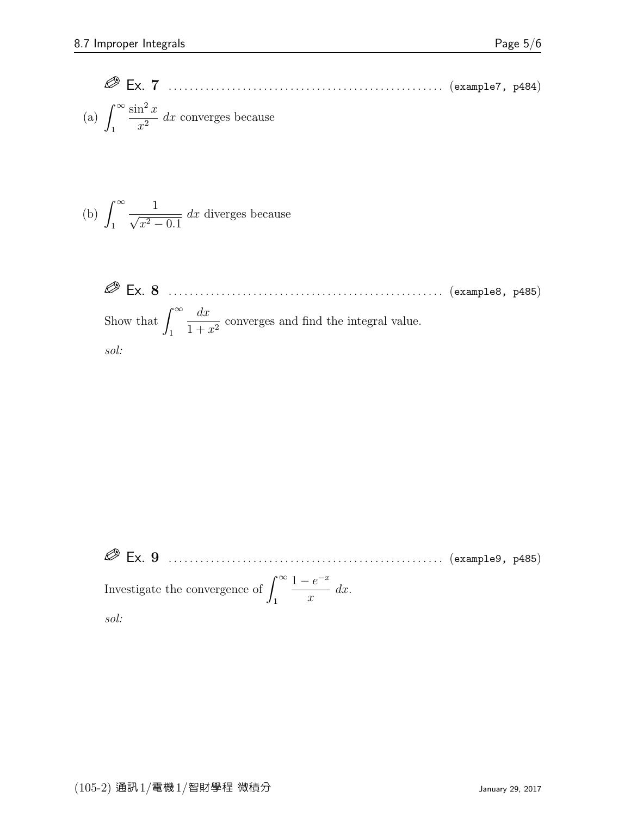(a)  $\int^{\infty}$ 1  $\sin^2 x$  $\frac{d}{dx}$  dx converges because

(b) 
$$
\int_1^{\infty} \frac{1}{\sqrt{x^2 - 0.1}} dx
$$
 diverges because

**Example 8. EXAMPLE 8 Example 8.** 
$$
p485
$$
 **Show that**  $\int_{1}^{\infty} \frac{dx}{1+x^2}$  converges and find the integral value. *sol:*

 Ex. 9 . . . . . . . . . . . . . . . . . . . . . . . . . . . . . . . . . . . . . . . . . . . . . . . . . . . . (example9, p485) Investigate the convergence of  $\int_{-\infty}^{\infty}$ 1  $1 - e^{-x}$  $\overline{x}$  $dx$ . sol: